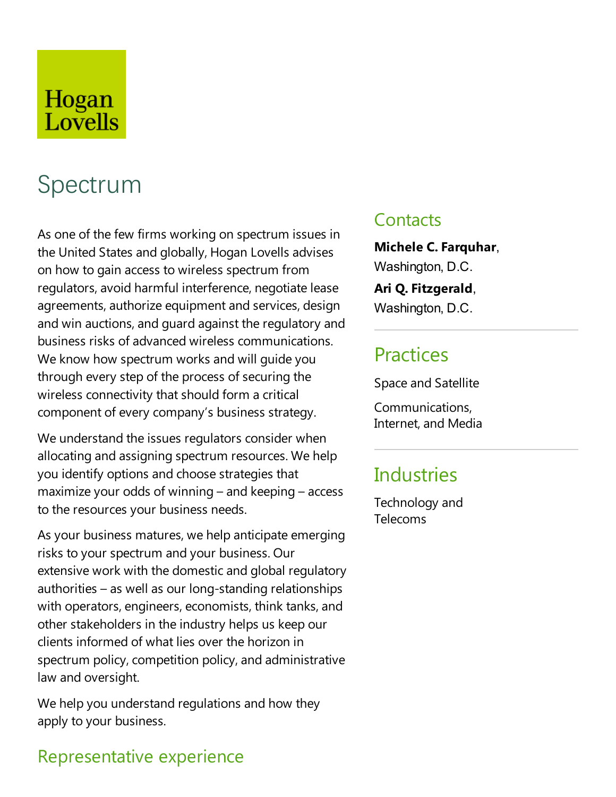## Hogan Lovells

# Spectrum

As one of the few firms working on spectrum issues in the United States and globally, Hogan Lovells advises on how to gain access to wireless spectrum from regulators, avoid harmful interference, negotiate lease agreements, authorize equipment and services, design and win auctions, and guard against the regulatory and business risks of advanced wireless communications. We know how spectrum works and will guide you through every step of the process of securing the wireless connectivity that should form a critical component of every company's business strategy.

We understand the issues regulators consider when allocating and assigning spectrum resources. We help you identify options and choose strategies that maximize your odds of winning – and keeping – access to the resources your business needs.

As your business matures, we help anticipate emerging risks to your spectrum and your business. Our extensive work with the domesticand global regulatory authorities – as well as our long-standing relationships with operators, engineers, economists, think tanks, and other stakeholders in the industry helps us keep our clients informed of what lies over the horizon in spectrum policy, competition policy, and administrative law and oversight.

We help you understand regulations and how they apply to your business.

## Representative experience

## **Contacts**

**Michele C.Farquhar**, Washington, D.C.

**Ari Q.Fitzgerald**, Washington, D.C.

**Practices** 

Space and Satellite

Communications, Internet, and Media

## **Industries**

Technology and Telecoms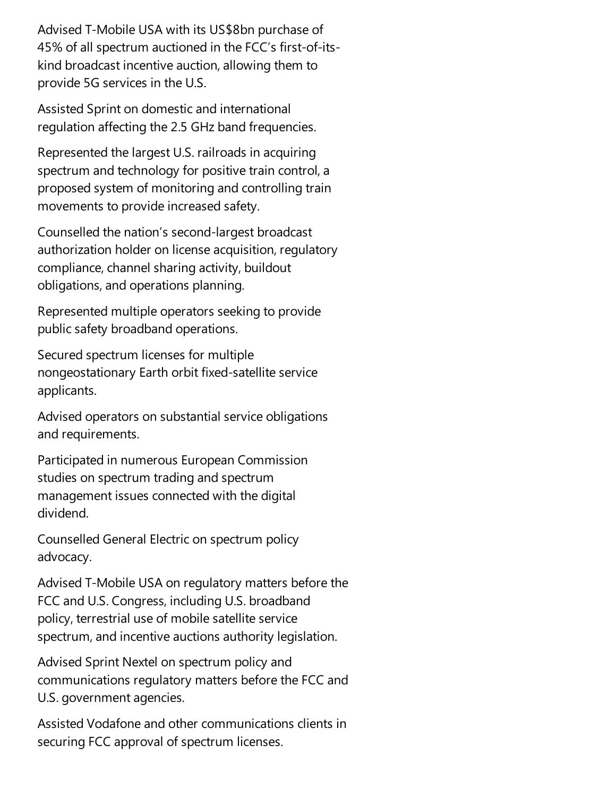Advised T-Mobile USA with its US\$8bn purchase of 45% of all spectrum auctioned in the FCC's first-of-itskind broadcast incentive auction, allowing them to provide 5G services in the U.S.

Assisted Sprint on domesticand international regulation affecting the 2.5 GHz band frequencies.

Represented the largest U.S. railroads in acquiring spectrum and technology for positive train control, a proposed system of monitoring and controlling train movements to provide increased safety.

Counselled the nation's second-largest broadcast authorization holder on license acquisition, regulatory compliance, channel sharing activity, buildout obligations, and operations planning.

Represented multiple operators seeking to provide public safety broadband operations.

Secured spectrum licenses for multiple nongeostationary Earth orbit fixed-satellite service applicants.

Advised operators on substantial service obligations and requirements.

Participated in numerous European Commission studies on spectrum trading and spectrum management issues connected with the digital dividend.

Counselled General Electric on spectrum policy advocacy.

Advised T-Mobile USA on regulatory matters before the FCC and U.S. Congress, including U.S. broadband policy, terrestrial use of mobile satellite service spectrum, and incentive auctions authority legislation.

Advised Sprint Nextel on spectrum policy and communications regulatory matters before the FCC and U.S. government agencies.

Assisted Vodafone and other communications clients in securing FCC approval of spectrum licenses.